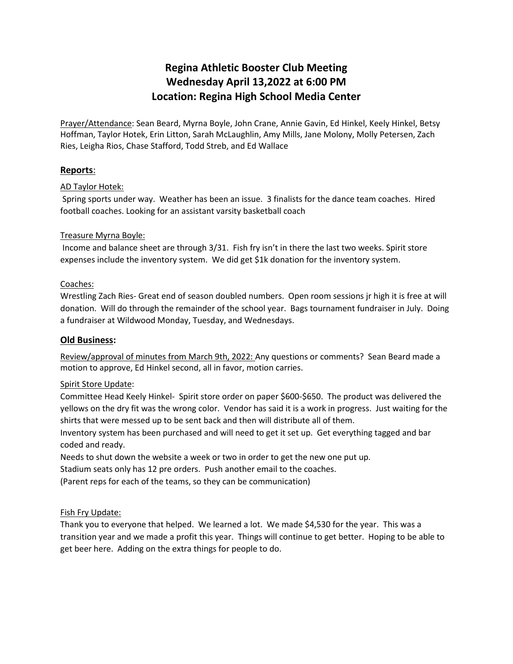# **Regina Athletic Booster Club Meeting Wednesday April 13,2022 at 6:00 PM Location: Regina High School Media Center**

Prayer/Attendance: Sean Beard, Myrna Boyle, John Crane, Annie Gavin, Ed Hinkel, Keely Hinkel, Betsy Hoffman, Taylor Hotek, Erin Litton, Sarah McLaughlin, Amy Mills, Jane Molony, Molly Petersen, Zach Ries, Leigha Rios, Chase Stafford, Todd Streb, and Ed Wallace

# **Reports**:

## AD Taylor Hotek:

 Spring sports under way. Weather has been an issue. 3 finalists for the dance team coaches. Hired football coaches. Looking for an assistant varsity basketball coach

## Treasure Myrna Boyle:

Income and balance sheet are through 3/31. Fish fry isn't in there the last two weeks. Spirit store expenses include the inventory system. We did get \$1k donation for the inventory system.

## Coaches:

Wrestling Zach Ries- Great end of season doubled numbers. Open room sessions jr high it is free at will donation. Will do through the remainder of the school year. Bags tournament fundraiser in July. Doing a fundraiser at Wildwood Monday, Tuesday, and Wednesdays.

## **Old Business:**

Review/approval of minutes from March 9th, 2022: Any questions or comments? Sean Beard made a motion to approve, Ed Hinkel second, all in favor, motion carries.

## Spirit Store Update:

Committee Head Keely Hinkel- Spirit store order on paper \$600-\$650. The product was delivered the yellows on the dry fit was the wrong color. Vendor has said it is a work in progress. Just waiting for the shirts that were messed up to be sent back and then will distribute all of them.

Inventory system has been purchased and will need to get it set up. Get everything tagged and bar coded and ready.

Needs to shut down the website a week or two in order to get the new one put up.

Stadium seats only has 12 pre orders. Push another email to the coaches.

(Parent reps for each of the teams, so they can be communication)

## Fish Fry Update:

Thank you to everyone that helped. We learned a lot. We made \$4,530 for the year. This was a transition year and we made a profit this year. Things will continue to get better. Hoping to be able to get beer here. Adding on the extra things for people to do.